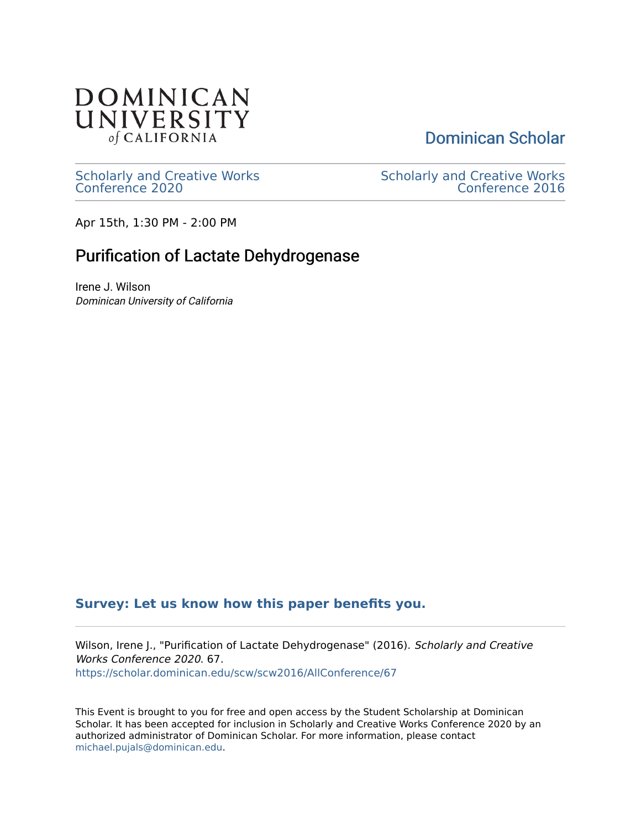#### **DOMINICAN** UNIVERSITY of CALIFORNIA

[Dominican Scholar](https://scholar.dominican.edu/) 

[Scholarly and Creative Works](https://scholar.dominican.edu/scw) [Conference 2020](https://scholar.dominican.edu/scw) 

[Scholarly and Creative Works](https://scholar.dominican.edu/scw/scw2016)  [Conference 2016](https://scholar.dominican.edu/scw/scw2016) 

Apr 15th, 1:30 PM - 2:00 PM

#### Purification of Lactate Dehydrogenase

Irene J. Wilson Dominican University of California

#### **[Survey: Let us know how this paper benefits you.](https://dominican.libwizard.com/dominican-scholar-feedback)**

Wilson, Irene J., "Purification of Lactate Dehydrogenase" (2016). Scholarly and Creative Works Conference 2020. 67. [https://scholar.dominican.edu/scw/scw2016/AllConference/67](https://scholar.dominican.edu/scw/scw2016/AllConference/67?utm_source=scholar.dominican.edu%2Fscw%2Fscw2016%2FAllConference%2F67&utm_medium=PDF&utm_campaign=PDFCoverPages)

This Event is brought to you for free and open access by the Student Scholarship at Dominican Scholar. It has been accepted for inclusion in Scholarly and Creative Works Conference 2020 by an authorized administrator of Dominican Scholar. For more information, please contact [michael.pujals@dominican.edu.](mailto:michael.pujals@dominican.edu)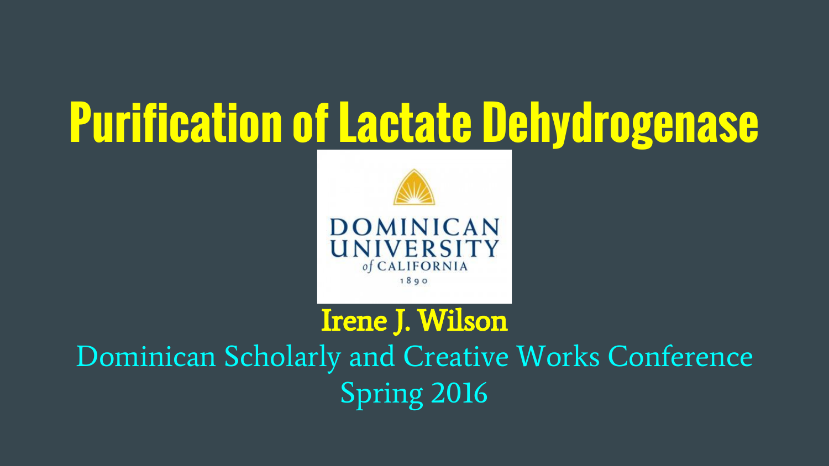# **Purification of Lactate Dehydrogenase**



#### Irene J. Wilson

Dominican Scholarly and Creative Works Conference Spring 2016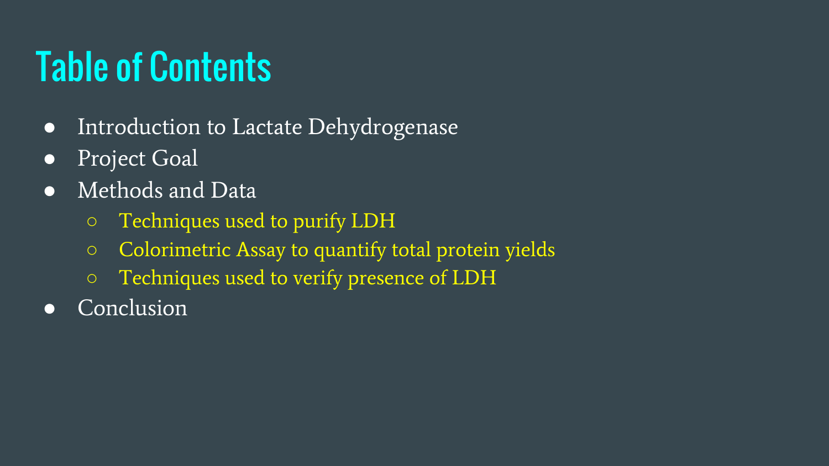### Table of Contents

- Introduction to Lactate Dehydrogenase
- Project Goal
- Methods and Data
	- Techniques used to purify LDH
	- Colorimetric Assay to quantify total protein yields
	- Techniques used to verify presence of LDH
- Conclusion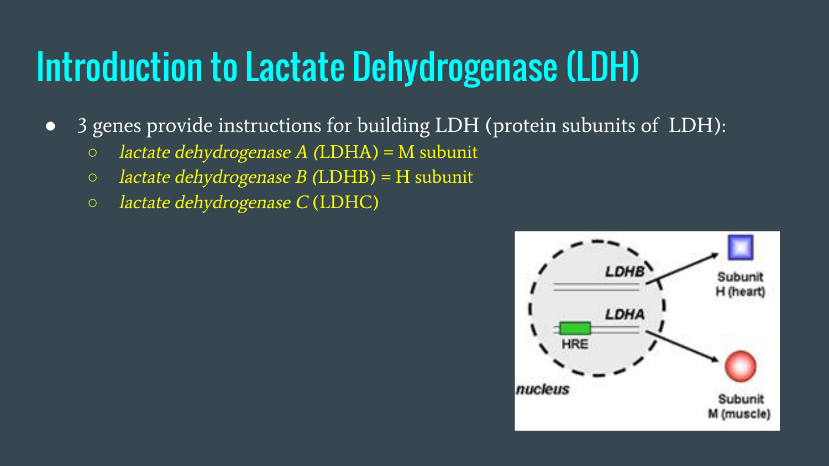### Introduction to Lactate Dehydrogenase (LDH)

- 3 genes provide instructions for building LDH (protein subunits of LDH):
	- $\circ$  lactate dehydrogenase A (LDHA) = M subunit
	- lactate dehydrogenase B (LDHB) = H subunit
	- lactate dehydrogenase C (LDHC)

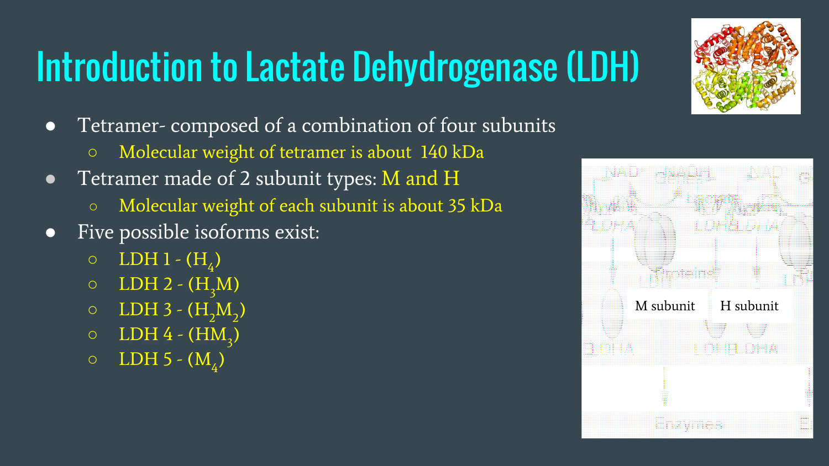## Introduction to Lactate Dehydrogenase (LDH)

- Tetramer- composed of a combination of four subunits
	- Molecular weight of tetramer is about 140 kDa
- Tetramer made of 2 subunit types: M and H
	- Molecular weight of each subunit is about 35 kDa
- Five possible isoforms exist:
	- $\circ$  LDH 1  $(H_4)$
	- $O$  LDH 2  $(H_2M)$
	- $\circ$  LDH 3  $(H_2M_2)$
	- $\circ$  LDH 4 (HM<sub>3</sub>)
	- $\circ$  LDH 5 (M<sub>4</sub>)



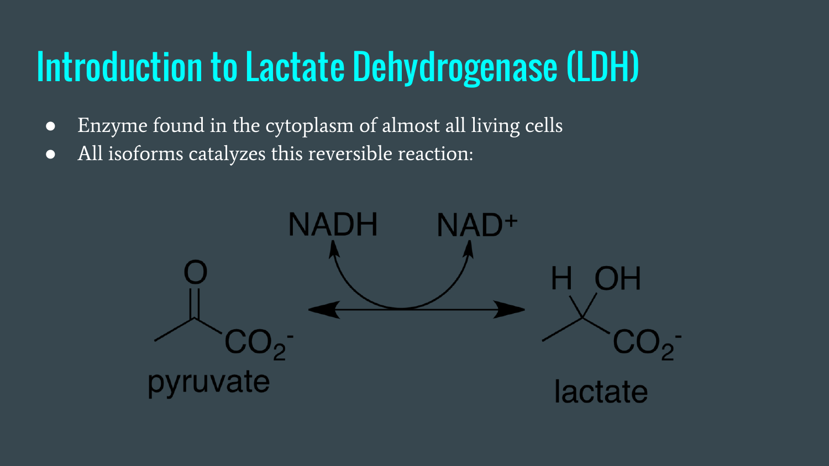### Introduction to Lactate Dehydrogenase (LDH)

- Enzyme found in the cytoplasm of almost all living cells
- All isoforms catalyzes this reversible reaction:

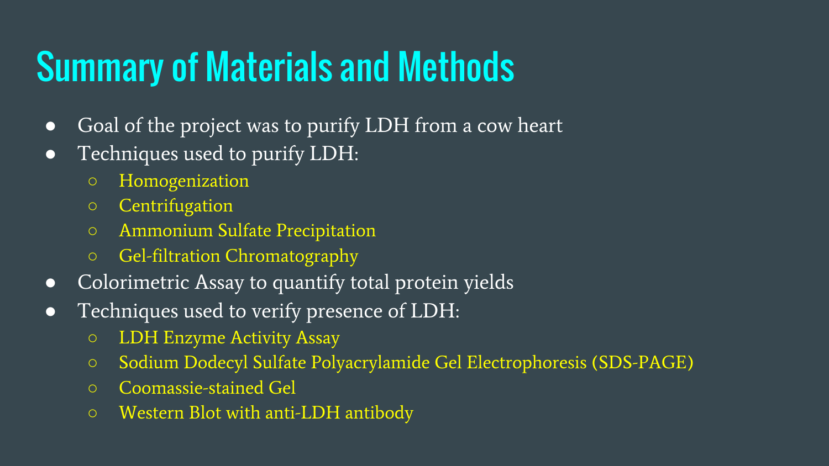### Summary of Materials and Methods

- Goal of the project was to purify LDH from a cow heart
- Techniques used to purify LDH:
	- Homogenization
	- Centrifugation
	- Ammonium Sulfate Precipitation
	- Gel-filtration Chromatography
- Colorimetric Assay to quantify total protein yields
- Techniques used to verify presence of LDH:
	- LDH Enzyme Activity Assay
	- Sodium Dodecyl Sulfate Polyacrylamide Gel Electrophoresis (SDS-PAGE)
	- Coomassie-stained Gel
	- Western Blot with anti-LDH antibody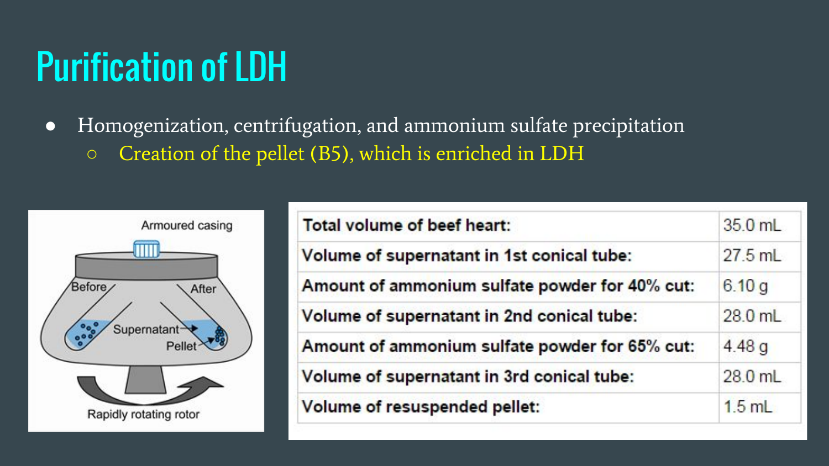#### Purification of LDH

● Homogenization, centrifugation, and ammonium sulfate precipitation ○ Creation of the pellet (B5), which is enriched in LDH



| Total volume of beef heart:                    | 35.0 mL   |
|------------------------------------------------|-----------|
| Volume of supernatant in 1st conical tube:     | $27.5$ mL |
| Amount of ammonium sulfate powder for 40% cut: | 6.10q     |
| Volume of supernatant in 2nd conical tube:     | $28.0$ mL |
| Amount of ammonium sulfate powder for 65% cut: | 4.48q     |
| Volume of supernatant in 3rd conical tube:     | 28.0 mL   |
| Volume of resuspended pellet:                  | $1.5$ mL  |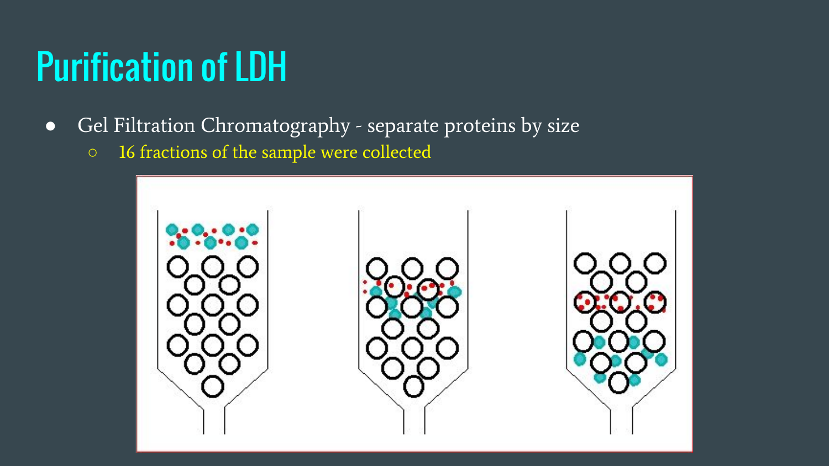#### Purification of LDH

- Gel Filtration Chromatography separate proteins by size
	- 16 fractions of the sample were collected

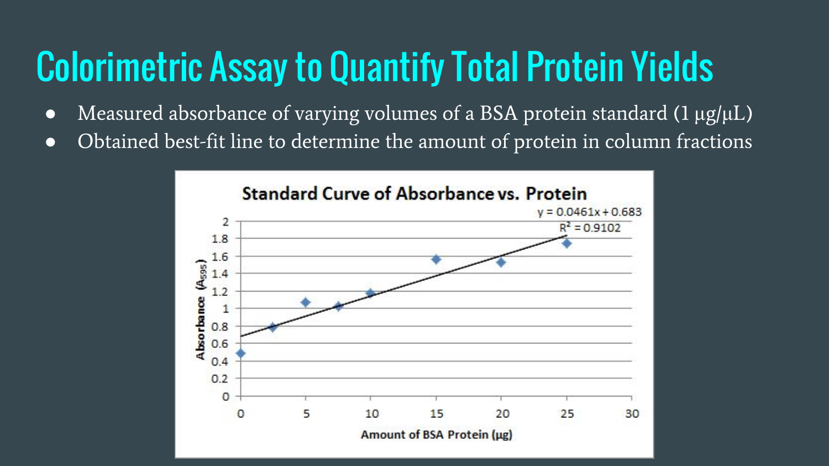#### Colorimetric Assay to Quantify Total Protein Yields

- Measured absorbance of varying volumes of a BSA protein standard (1  $\mu$ g/ $\mu$ L)
- Obtained best-fit line to determine the amount of protein in column fractions

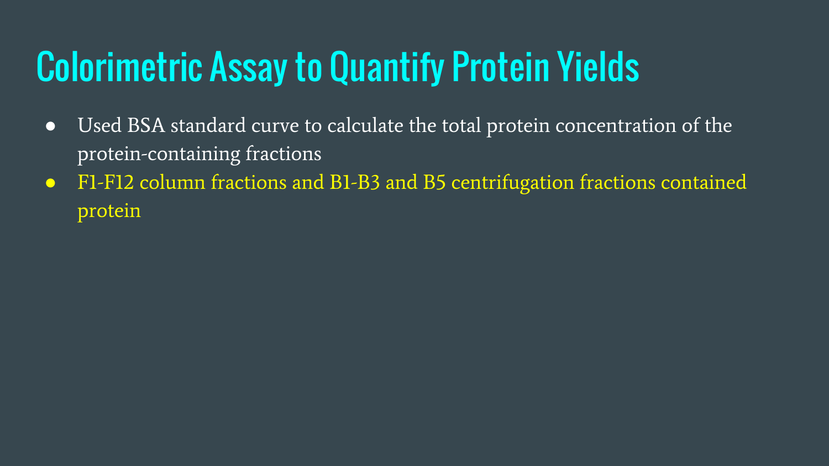### Colorimetric Assay to Quantify Protein Yields

- Used BSA standard curve to calculate the total protein concentration of the protein-containing fractions
- F1-F12 column fractions and B1-B3 and B5 centrifugation fractions contained protein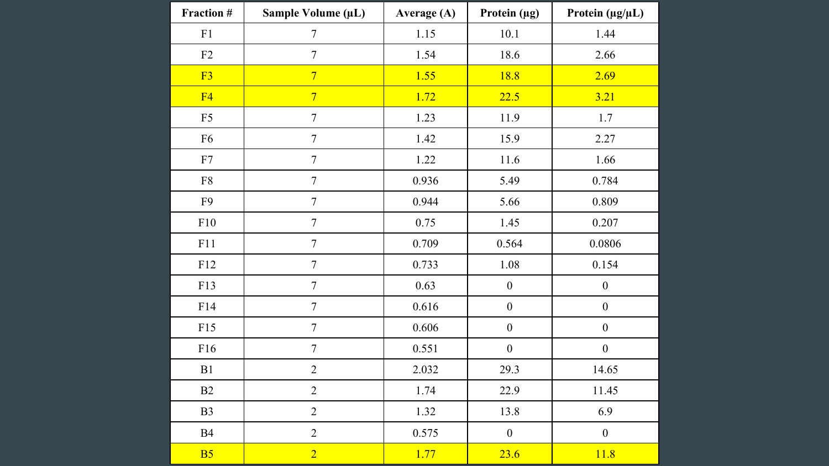| Fraction #     | Sample Volume (µL) | Average (A) | Protein (µg)     | Protein $(\mu g/\mu L)$ |
|----------------|--------------------|-------------|------------------|-------------------------|
| F1             | $\tau$             | 1.15        | $10.1\,$         | 1.44                    |
| F2             | $\boldsymbol{7}$   | 1.54        | 18.6             | 2.66                    |
| F <sub>3</sub> | $\overline{7}$     | 1.55        | 18.8             | 2.69                    |
| F4             | $\overline{7}$     | 1.72        | 22.5             | 3.21                    |
| F <sub>5</sub> | $\tau$             | 1.23        | 11.9             | 1.7                     |
| F <sub>6</sub> | $\boldsymbol{7}$   | 1.42        | 15.9             | 2.27                    |
| ${\rm F}7$     | $\boldsymbol{7}$   | 1.22        | 11.6             | 1.66                    |
| ${\rm F}8$     | $\tau$             | 0.936       | 5.49             | 0.784                   |
| F9             | $\boldsymbol{7}$   | 0.944       | 5.66             | 0.809                   |
| F10            | $\boldsymbol{7}$   | 0.75        | 1.45             | 0.207                   |
| F11            | $\boldsymbol{7}$   | 0.709       | 0.564            | 0.0806                  |
| F12            | $\tau$             | 0.733       | 1.08             | 0.154                   |
| F13            | $\boldsymbol{7}$   | 0.63        | $\boldsymbol{0}$ | $\boldsymbol{0}$        |
| F14            | $\boldsymbol{7}$   | 0.616       | $\boldsymbol{0}$ | $\boldsymbol{0}$        |
| F15            | $\tau$             | 0.606       | $\boldsymbol{0}$ | $\boldsymbol{0}$        |
| F16            | $\tau$             | 0.551       | $\boldsymbol{0}$ | $\boldsymbol{0}$        |
| B1             | $\sqrt{2}$         | 2.032       | 29.3             | 14.65                   |
| B2             | $\overline{2}$     | 1.74        | 22.9             | 11.45                   |
| B <sub>3</sub> | $\overline{2}$     | 1.32        | 13.8             | 6.9                     |
| B4             | $\sqrt{2}$         | 0.575       | $\boldsymbol{0}$ | $\boldsymbol{0}$        |
| B <sub>5</sub> | $\overline{2}$     | 1.77        | 23.6             | 11.8                    |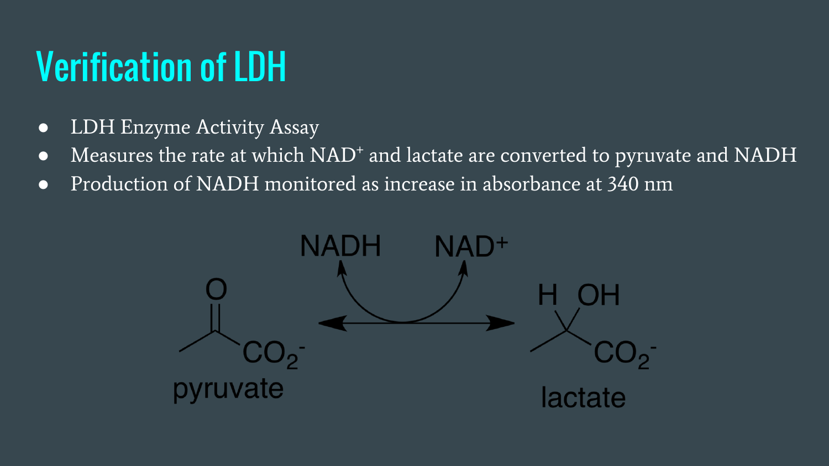#### Verification of LDH

- LDH Enzyme Activity Assay
- Measures the rate at which NAD<sup>+</sup> and lactate are converted to pyruvate and NADH
- Production of NADH monitored as increase in absorbance at 340 nm

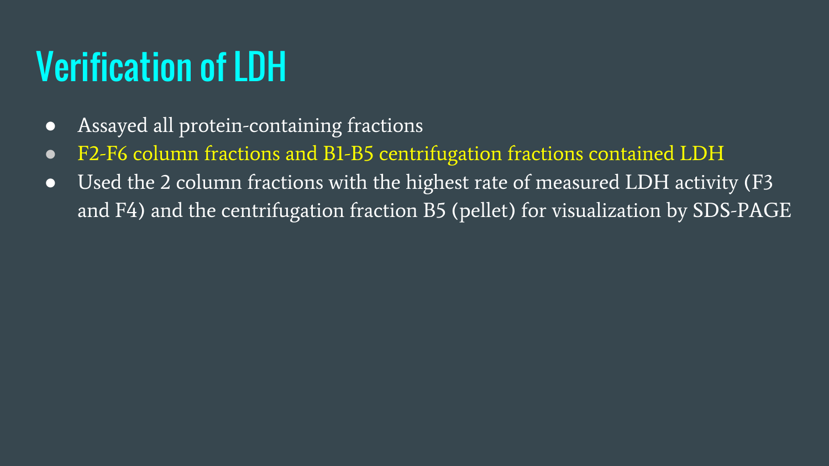#### Verification of LDH

- Assayed all protein-containing fractions
- F2-F6 column fractions and B1-B5 centrifugation fractions contained LDH
- Used the 2 column fractions with the highest rate of measured LDH activity (F3 and F4) and the centrifugation fraction B5 (pellet) for visualization by SDS-PAGE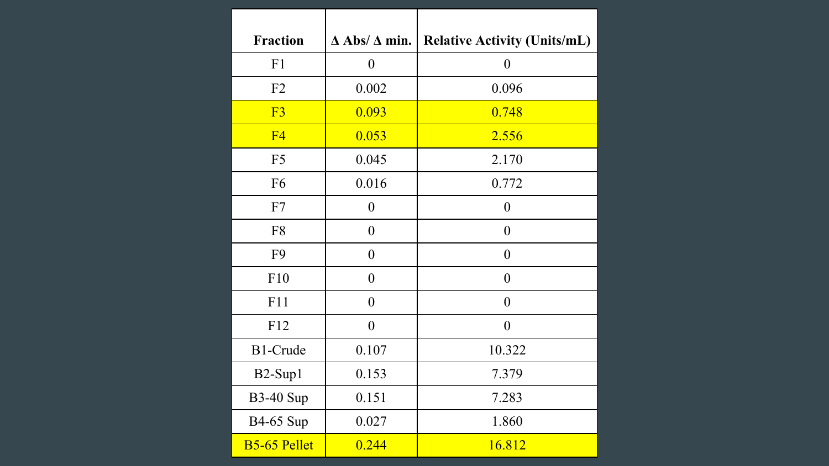| <b>Fraction</b>     | $\Delta$ Abs/ $\Delta$ min. | <b>Relative Activity (Units/mL)</b> |
|---------------------|-----------------------------|-------------------------------------|
| F1                  | $\boldsymbol{0}$            | $\boldsymbol{0}$                    |
| F2                  | 0.002                       | 0.096                               |
| F <sub>3</sub>      | 0.093                       | 0.748                               |
| F <sub>4</sub>      | 0.053                       | 2.556                               |
| F <sub>5</sub>      | 0.045                       | 2.170                               |
| F <sub>6</sub>      | 0.016                       | 0.772                               |
| F7                  | $\boldsymbol{0}$            | $\boldsymbol{0}$                    |
| F8                  | $\boldsymbol{0}$            | $\overline{0}$                      |
| F <sub>9</sub>      | $\overline{0}$              | $\overline{0}$                      |
| F10                 | $\boldsymbol{0}$            | $\boldsymbol{0}$                    |
| F11                 | $\overline{0}$              | $\overline{0}$                      |
| F12                 | $\boldsymbol{0}$            | $\boldsymbol{0}$                    |
| B1-Crude            | 0.107                       | 10.322                              |
| B2-Sup1             | 0.153                       | 7.379                               |
| <b>B3-40 Sup</b>    | 0.151                       | 7.283                               |
| <b>B4-65</b> Sup    | 0.027                       | 1.860                               |
| <b>B5-65 Pellet</b> | 0.244                       | 16.812                              |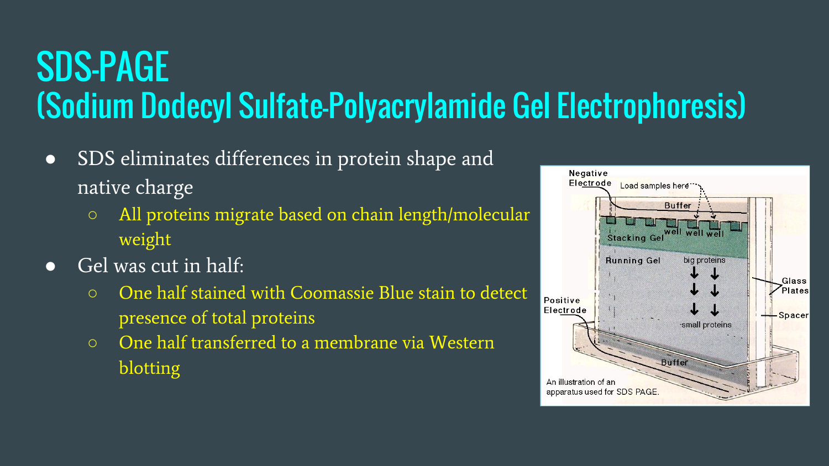#### SDS-PAGE (Sodium Dodecyl Sulfate-Polyacrylamide Gel Electrophoresis)

- SDS eliminates differences in protein shape and native charge
	- All proteins migrate based on chain length/molecular weight
- $\bullet$  Gel was cut in half:
	- One half stained with Coomassie Blue stain to detect presence of total proteins
	- One half transferred to a membrane via Western blotting

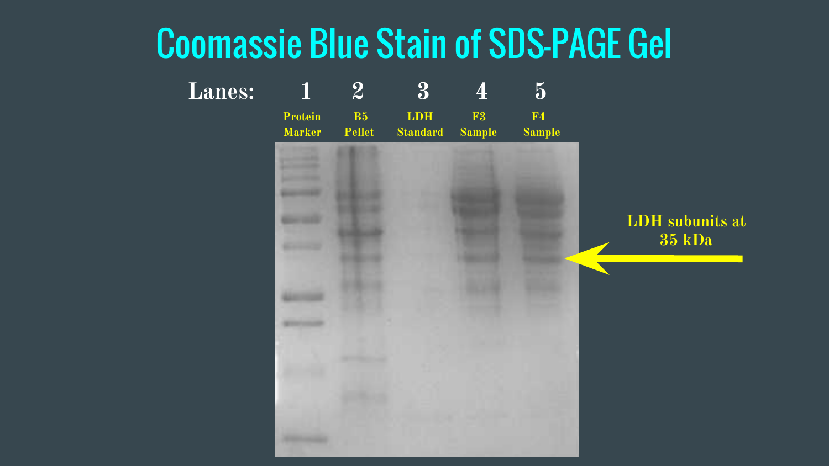#### Coomassie Blue Stain of SDS-PAGE Gel

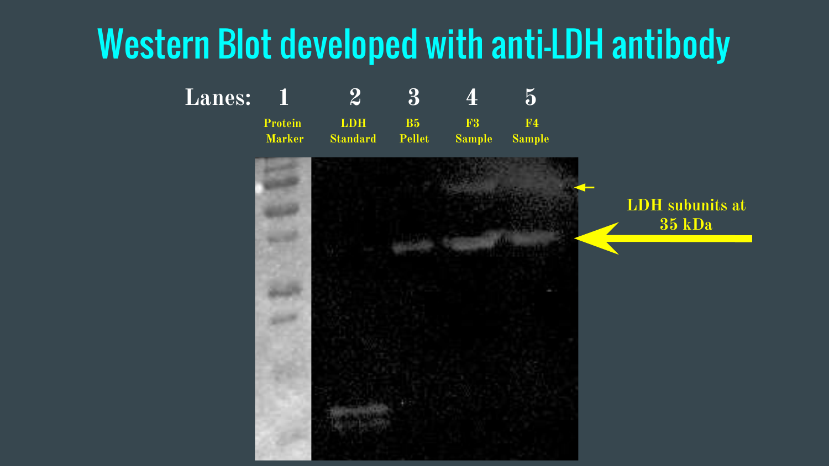#### Western Blot developed with anti-LDH antibody

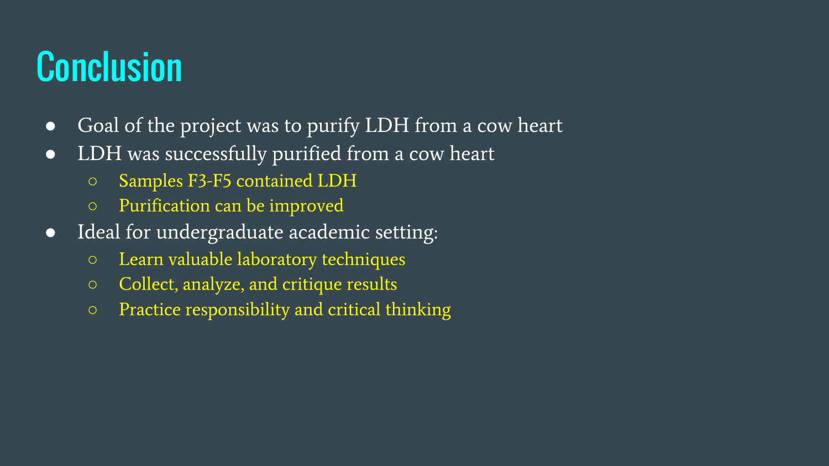### **Conclusion**

- Goal of the project was to purify LDH from a cow heart
- LDH was successfully purified from a cow heart
	- Samples F3-F5 contained LDH
	- Purification can be improved
- Ideal for undergraduate academic setting:
	- Learn valuable laboratory techniques
	- Collect, analyze, and critique results
	- Practice responsibility and critical thinking